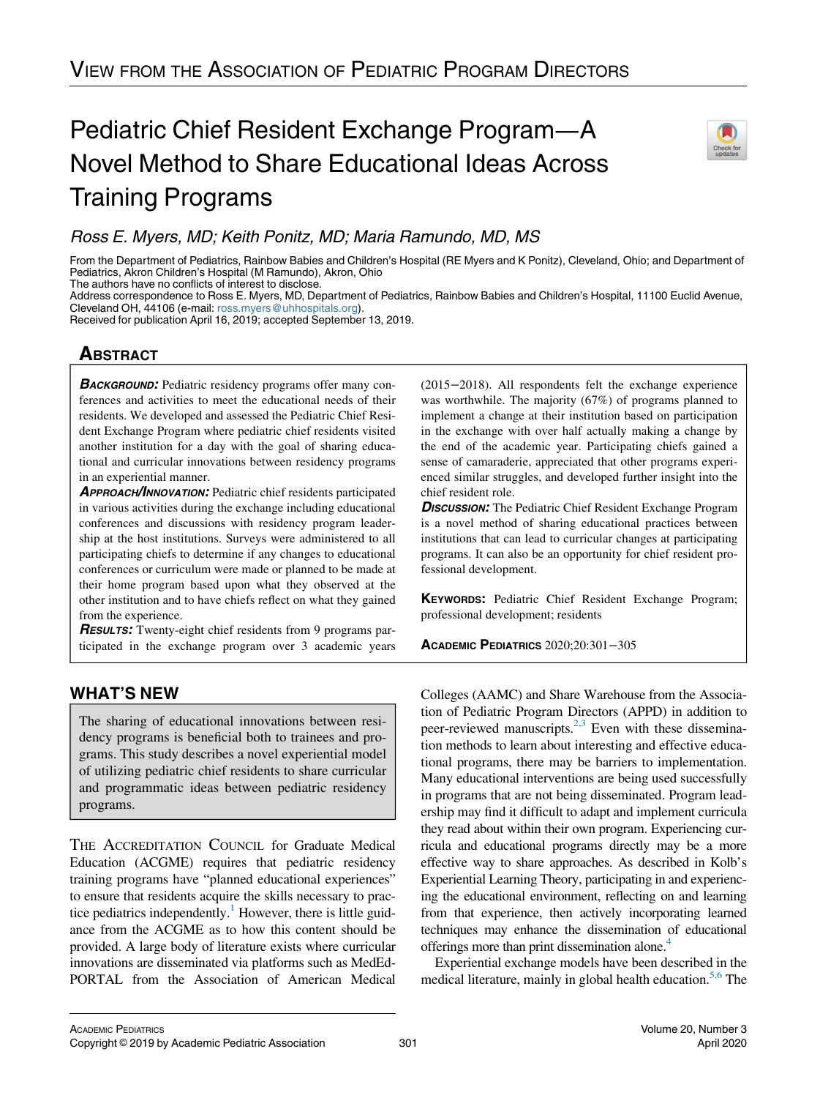# Pediatric Chief Resident Exchange Program—A Novel Method to Share Educational Ideas Across Training Programs



## Ross E. Myers, MD; Keith Ponitz, MD; Maria Ramundo, MD, MS

From the Department of Pediatrics, Rainbow Babies and Children's Hospital (RE Myers and K Ponitz), Cleveland, Ohio; and Department of Pediatrics, Akron Children's Hospital (M Ramundo), Akron, Ohio The authors have no conflicts of interest to disclose.

Address correspondence to Ross E. Myers, MD, Department of Pediatrics, Rainbow Babies and Children's Hospital, 11100 Euclid Avenue, Cleveland OH, 44106 (e-mail: [ross.myers@uhhospitals.org](mailto:ross.myers@uhhospitals.org)).

Received for publication April 16, 2019; accepted September 13, 2019.

# **ABSTRACT**

**BACKGROUND:** Pediatric residency programs offer many conferences and activities to meet the educational needs of their residents. We developed and assessed the Pediatric Chief Resident Exchange Program where pediatric chief residents visited another institution for a day with the goal of sharing educational and curricular innovations between residency programs in an experiential manner.

APPROACH/INNOVATION: Pediatric chief residents participated in various activities during the exchange including educational conferences and discussions with residency program leadership at the host institutions. Surveys were administered to all participating chiefs to determine if any changes to educational conferences or curriculum were made or planned to be made at their home program based upon what they observed at the other institution and to have chiefs reflect on what they gained from the experience.

**RESULTS:** Twenty-eight chief residents from 9 programs participated in the exchange program over 3 academic years

### WHAT'S NEW

The sharing of educational innovations between residency programs is beneficial both to trainees and programs. This study describes a novel experiential model of utilizing pediatric chief residents to share curricular and programmatic ideas between pediatric residency programs.

THE ACCREDITATION COUNCIL for Graduate Medical Education (ACGME) requires that pediatric residency training programs have "planned educational experiences" to ensure that residents acquire the skills necessary to practice pediatrics independently.<sup>1</sup> However, there is little guidance from the ACGME as to how this content should be provided. A large body of literature exists where curricular innovations are disseminated via platforms such as MedEd-PORTAL from the Association of American Medical

(2015−2018). All respondents felt the exchange experience was worthwhile. The majority (67%) of programs planned to implement a change at their institution based on participation in the exchange with over half actually making a change by the end of the academic year. Participating chiefs gained a sense of camaraderie, appreciated that other programs experienced similar struggles, and developed further insight into the chief resident role.

**DISCUSSION:** The Pediatric Chief Resident Exchange Program is a novel method of sharing educational practices between institutions that can lead to curricular changes at participating programs. It can also be an opportunity for chief resident professional development.

KEYWORDS: Pediatric Chief Resident Exchange Program; professional development; residents

ACADEMIC PEDIATRICS 2020;20:301−305

Colleges (AAMC) and Share Warehouse from the Association of Pediatric Program Directors (APPD) in addition to peer-reviewed manuscripts.<sup>2,3</sup> Even with these dissemination methods to learn about interesting and effective educational programs, there may be barriers to implementation. Many educational interventions are being used successfully in programs that are not being disseminated. Program leadership may find it difficult to adapt and implement curricula they read about within their own program. Experiencing curricula and educational programs directly may be a more effective way to share approaches. As described in Kolb's Experiential Learning Theory, participating in and experiencing the educational environment, reflecting on and learning from that experience, then actively incorporating learned techniques may enhance the dissemination of educational offerings more than print dissemination alone.<sup>4</sup>

Experiential exchange models have been described in the medical literature, mainly in global health education.<sup>5,6</sup> The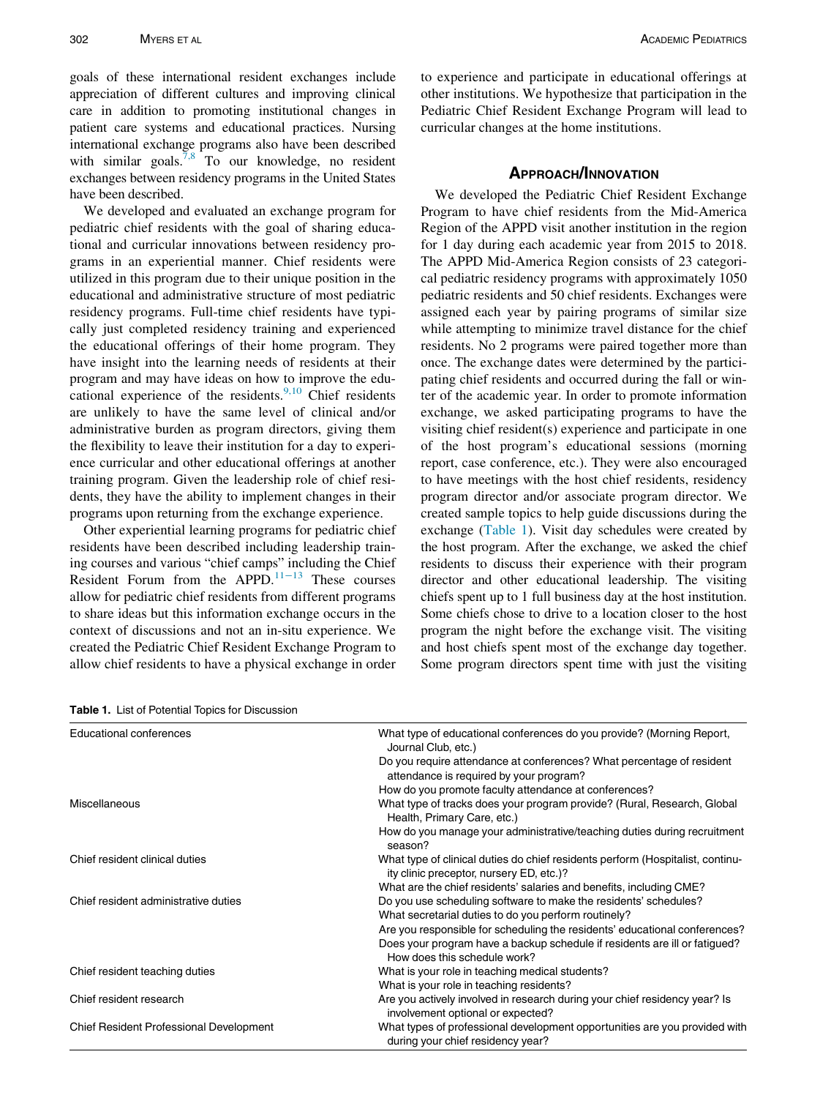goals of these international resident exchanges include appreciation of different cultures and improving clinical care in addition to promoting institutional changes in patient care systems and educational practices. Nursing international exchange programs also have been described with similar goals.<sup>7,8</sup> To our knowledge, no resident exchanges between residency programs in the United States have been described.

We developed and evaluated an exchange program for pediatric chief residents with the goal of sharing educational and curricular innovations between residency programs in an experiential manner. Chief residents were utilized in this program due to their unique position in the educational and administrative structure of most pediatric residency programs. Full-time chief residents have typically just completed residency training and experienced the educational offerings of their home program. They have insight into the learning needs of residents at their program and may have ideas on how to improve the educational experience of the residents. $9,10$  Chief residents are unlikely to have the same level of clinical and/or administrative burden as program directors, giving them the flexibility to leave their institution for a day to experience curricular and other educational offerings at another training program. Given the leadership role of chief residents, they have the ability to implement changes in their programs upon returning from the exchange experience.

Other experiential learning programs for pediatric chief residents have been described including leadership training courses and various "chief camps" including the Chief Resident Forum from the APPD.<sup>11–[13](#page-4-6)</sup> These courses allow for pediatric chief residents from different programs to share ideas but this information exchange occurs in the context of discussions and not an in-situ experience. We created the Pediatric Chief Resident Exchange Program to allow chief residents to have a physical exchange in order to experience and participate in educational offerings at other institutions. We hypothesize that participation in the Pediatric Chief Resident Exchange Program will lead to curricular changes at the home institutions.

#### APPROACH/INNOVATION

We developed the Pediatric Chief Resident Exchange Program to have chief residents from the Mid-America Region of the APPD visit another institution in the region for 1 day during each academic year from 2015 to 2018. The APPD Mid-America Region consists of 23 categorical pediatric residency programs with approximately 1050 pediatric residents and 50 chief residents. Exchanges were assigned each year by pairing programs of similar size while attempting to minimize travel distance for the chief residents. No 2 programs were paired together more than once. The exchange dates were determined by the participating chief residents and occurred during the fall or winter of the academic year. In order to promote information exchange, we asked participating programs to have the visiting chief resident(s) experience and participate in one of the host program's educational sessions (morning report, case conference, etc.). They were also encouraged to have meetings with the host chief residents, residency program director and/or associate program director. We created sample topics to help guide discussions during the exchange [\(Table 1\)](#page-1-0). Visit day schedules were created by the host program. After the exchange, we asked the chief residents to discuss their experience with their program director and other educational leadership. The visiting chiefs spent up to 1 full business day at the host institution. Some chiefs chose to drive to a location closer to the host program the night before the exchange visit. The visiting and host chiefs spent most of the exchange day together. Some program directors spent time with just the visiting

<span id="page-1-0"></span>

| <b>. as is the Library of Province Proprior Diocabolog</b> |                                                                                                                            |
|------------------------------------------------------------|----------------------------------------------------------------------------------------------------------------------------|
| Educational conferences                                    | What type of educational conferences do you provide? (Morning Report,<br>Journal Club, etc.)                               |
|                                                            | Do you require attendance at conferences? What percentage of resident<br>attendance is required by your program?           |
|                                                            | How do you promote faculty attendance at conferences?                                                                      |
| Miscellaneous                                              | What type of tracks does your program provide? (Rural, Research, Global<br>Health, Primary Care, etc.)                     |
|                                                            | How do you manage your administrative/teaching duties during recruitment<br>season?                                        |
| Chief resident clinical duties                             | What type of clinical duties do chief residents perform (Hospitalist, continu-<br>ity clinic preceptor, nursery ED, etc.)? |
|                                                            | What are the chief residents' salaries and benefits, including CME?                                                        |
| Chief resident administrative duties                       | Do you use scheduling software to make the residents' schedules?<br>What secretarial duties to do you perform routinely?   |
|                                                            | Are you responsible for scheduling the residents' educational conferences?                                                 |
|                                                            | Does your program have a backup schedule if residents are ill or fatigued?<br>How does this schedule work?                 |
| Chief resident teaching duties                             | What is your role in teaching medical students?                                                                            |
|                                                            | What is your role in teaching residents?                                                                                   |
| Chief resident research                                    | Are you actively involved in research during your chief residency year? Is<br>involvement optional or expected?            |
| <b>Chief Resident Professional Development</b>             | What types of professional development opportunities are you provided with<br>during your chief residency year?            |

Table 1. List of Potential Topics for Discussion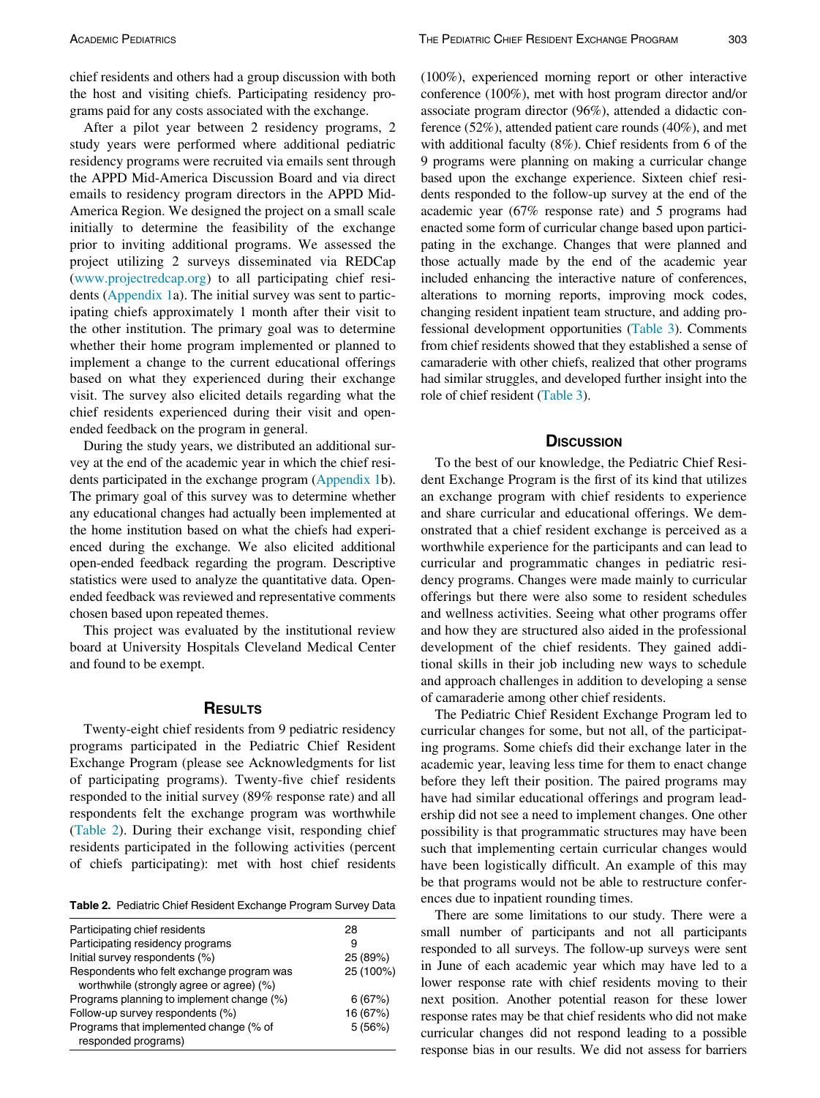chief residents and others had a group discussion with both the host and visiting chiefs. Participating residency programs paid for any costs associated with the exchange.

After a pilot year between 2 residency programs, 2 study years were performed where additional pediatric residency programs were recruited via emails sent through the APPD Mid-America Discussion Board and via direct emails to residency program directors in the APPD Mid-America Region. We designed the project on a small scale initially to determine the feasibility of the exchange prior to inviting additional programs. We assessed the project utilizing 2 surveys disseminated via REDCap [\(www.projectredcap.org](http://www.projectredcap.org)) to all participating chief residents ([Appendix 1a](#page-4-7)). The initial survey was sent to participating chiefs approximately 1 month after their visit to the other institution. The primary goal was to determine whether their home program implemented or planned to implement a change to the current educational offerings based on what they experienced during their exchange visit. The survey also elicited details regarding what the chief residents experienced during their visit and openended feedback on the program in general.

During the study years, we distributed an additional survey at the end of the academic year in which the chief residents participated in the exchange program ([Appendix 1b](#page-4-7)). The primary goal of this survey was to determine whether any educational changes had actually been implemented at the home institution based on what the chiefs had experienced during the exchange. We also elicited additional open-ended feedback regarding the program. Descriptive statistics were used to analyze the quantitative data. Openended feedback was reviewed and representative comments chosen based upon repeated themes.

This project was evaluated by the institutional review board at University Hospitals Cleveland Medical Center and found to be exempt.

#### **RESULTS**

Twenty-eight chief residents from 9 pediatric residency programs participated in the Pediatric Chief Resident Exchange Program (please see Acknowledgments for list of participating programs). Twenty-five chief residents responded to the initial survey (89% response rate) and all respondents felt the exchange program was worthwhile [\(Table 2\)](#page-2-0). During their exchange visit, responding chief residents participated in the following activities (percent of chiefs participating): met with host chief residents

<span id="page-2-0"></span>Table 2. Pediatric Chief Resident Exchange Program Survey Data

| Participating chief residents                                                         | 28        |
|---------------------------------------------------------------------------------------|-----------|
| Participating residency programs                                                      | 9         |
| Initial survey respondents (%)                                                        | 25 (89%)  |
| Respondents who felt exchange program was<br>worthwhile (strongly agree or agree) (%) | 25 (100%) |
| Programs planning to implement change (%)                                             | 6(67%)    |
| Follow-up survey respondents (%)                                                      | 16 (67%)  |
| Programs that implemented change (% of                                                | 5(56%)    |
| responded programs)                                                                   |           |

(100%), experienced morning report or other interactive conference (100%), met with host program director and/or associate program director (96%), attended a didactic conference (52%), attended patient care rounds (40%), and met with additional faculty (8%). Chief residents from 6 of the 9 programs were planning on making a curricular change based upon the exchange experience. Sixteen chief residents responded to the follow-up survey at the end of the academic year (67% response rate) and 5 programs had enacted some form of curricular change based upon participating in the exchange. Changes that were planned and those actually made by the end of the academic year included enhancing the interactive nature of conferences, alterations to morning reports, improving mock codes, changing resident inpatient team structure, and adding professional development opportunities ([Table 3](#page-3-0)). Comments from chief residents showed that they established a sense of camaraderie with other chiefs, realized that other programs had similar struggles, and developed further insight into the role of chief resident [\(Table 3\)](#page-3-0).

#### **DISCUSSION**

To the best of our knowledge, the Pediatric Chief Resident Exchange Program is the first of its kind that utilizes an exchange program with chief residents to experience and share curricular and educational offerings. We demonstrated that a chief resident exchange is perceived as a worthwhile experience for the participants and can lead to curricular and programmatic changes in pediatric residency programs. Changes were made mainly to curricular offerings but there were also some to resident schedules and wellness activities. Seeing what other programs offer and how they are structured also aided in the professional development of the chief residents. They gained additional skills in their job including new ways to schedule and approach challenges in addition to developing a sense of camaraderie among other chief residents.

The Pediatric Chief Resident Exchange Program led to curricular changes for some, but not all, of the participating programs. Some chiefs did their exchange later in the academic year, leaving less time for them to enact change before they left their position. The paired programs may have had similar educational offerings and program leadership did not see a need to implement changes. One other possibility is that programmatic structures may have been such that implementing certain curricular changes would have been logistically difficult. An example of this may be that programs would not be able to restructure conferences due to inpatient rounding times.

There are some limitations to our study. There were a small number of participants and not all participants responded to all surveys. The follow-up surveys were sent in June of each academic year which may have led to a lower response rate with chief residents moving to their next position. Another potential reason for these lower response rates may be that chief residents who did not make curricular changes did not respond leading to a possible response bias in our results. We did not assess for barriers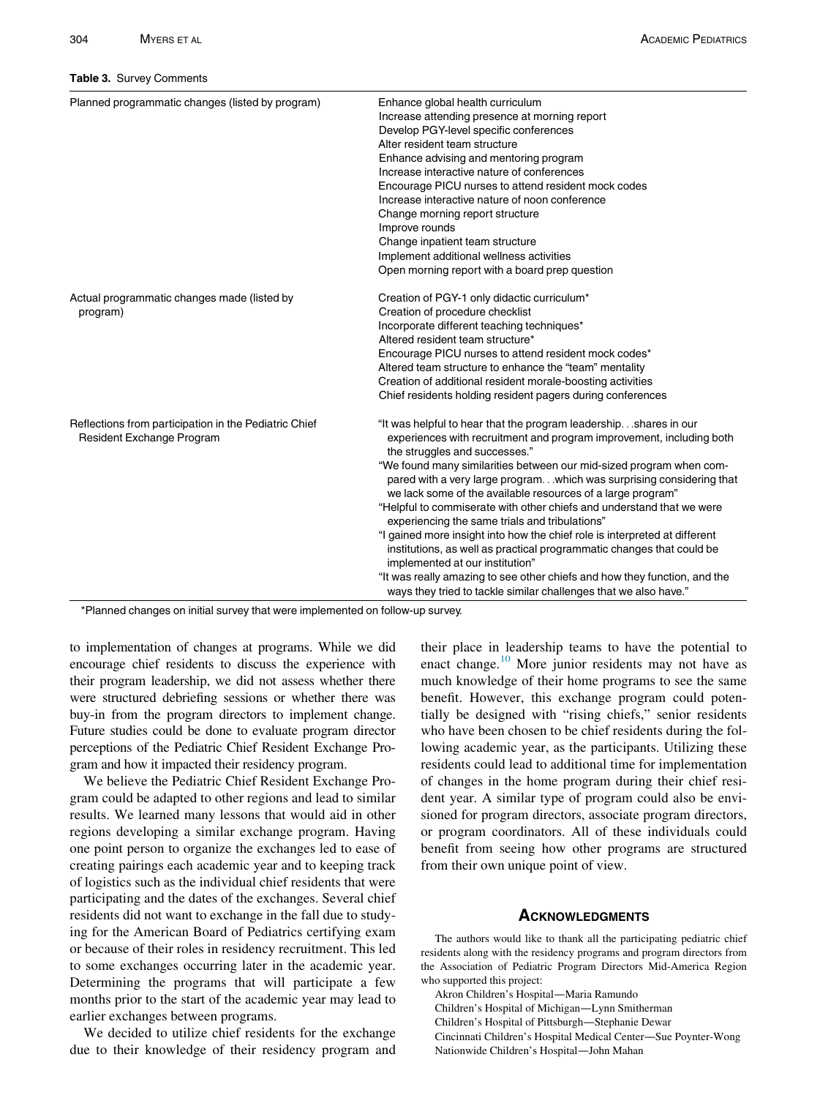#### <span id="page-3-0"></span>Table 3. Survey Comments

| Planned programmatic changes (listed by program)                                   | Enhance global health curriculum<br>Increase attending presence at morning report<br>Develop PGY-level specific conferences<br>Alter resident team structure<br>Enhance advising and mentoring program<br>Increase interactive nature of conferences<br>Encourage PICU nurses to attend resident mock codes<br>Increase interactive nature of noon conference<br>Change morning report structure<br>Improve rounds<br>Change inpatient team structure<br>Implement additional wellness activities<br>Open morning report with a board prep question                                                                                                                                                                                                                                                                                                            |
|------------------------------------------------------------------------------------|----------------------------------------------------------------------------------------------------------------------------------------------------------------------------------------------------------------------------------------------------------------------------------------------------------------------------------------------------------------------------------------------------------------------------------------------------------------------------------------------------------------------------------------------------------------------------------------------------------------------------------------------------------------------------------------------------------------------------------------------------------------------------------------------------------------------------------------------------------------|
| Actual programmatic changes made (listed by<br>program)                            | Creation of PGY-1 only didactic curriculum*<br>Creation of procedure checklist<br>Incorporate different teaching techniques*<br>Altered resident team structure*<br>Encourage PICU nurses to attend resident mock codes*<br>Altered team structure to enhance the "team" mentality<br>Creation of additional resident morale-boosting activities<br>Chief residents holding resident pagers during conferences                                                                                                                                                                                                                                                                                                                                                                                                                                                 |
| Reflections from participation in the Pediatric Chief<br>Resident Exchange Program | "It was helpful to hear that the program leadershipshares in our<br>experiences with recruitment and program improvement, including both<br>the struggles and successes."<br>"We found many similarities between our mid-sized program when com-<br>pared with a very large program which was surprising considering that<br>we lack some of the available resources of a large program"<br>"Helpful to commiserate with other chiefs and understand that we were<br>experiencing the same trials and tribulations"<br>"I gained more insight into how the chief role is interpreted at different<br>institutions, as well as practical programmatic changes that could be<br>implemented at our institution"<br>"It was really amazing to see other chiefs and how they function, and the<br>ways they tried to tackle similar challenges that we also have." |

\*Planned changes on initial survey that were implemented on follow-up survey.

to implementation of changes at programs. While we did encourage chief residents to discuss the experience with their program leadership, we did not assess whether there were structured debriefing sessions or whether there was buy-in from the program directors to implement change. Future studies could be done to evaluate program director perceptions of the Pediatric Chief Resident Exchange Program and how it impacted their residency program.

We believe the Pediatric Chief Resident Exchange Program could be adapted to other regions and lead to similar results. We learned many lessons that would aid in other regions developing a similar exchange program. Having one point person to organize the exchanges led to ease of creating pairings each academic year and to keeping track of logistics such as the individual chief residents that were participating and the dates of the exchanges. Several chief residents did not want to exchange in the fall due to studying for the American Board of Pediatrics certifying exam or because of their roles in residency recruitment. This led to some exchanges occurring later in the academic year. Determining the programs that will participate a few months prior to the start of the academic year may lead to earlier exchanges between programs.

We decided to utilize chief residents for the exchange due to their knowledge of their residency program and

their place in leadership teams to have the potential to enact change.<sup>[10](#page-4-8)</sup> More junior residents may not have as much knowledge of their home programs to see the same benefit. However, this exchange program could potentially be designed with "rising chiefs," senior residents who have been chosen to be chief residents during the following academic year, as the participants. Utilizing these residents could lead to additional time for implementation of changes in the home program during their chief resident year. A similar type of program could also be envisioned for program directors, associate program directors, or program coordinators. All of these individuals could benefit from seeing how other programs are structured from their own unique point of view.

#### **ACKNOWLEDGMENTS**

The authors would like to thank all the participating pediatric chief residents along with the residency programs and program directors from the Association of Pediatric Program Directors Mid-America Region who supported this project:

- Akron Children's Hospital—Maria Ramundo
- Children's Hospital of Michigan—Lynn Smitherman
- Children's Hospital of Pittsburgh—Stephanie Dewar Cincinnati Children's Hospital Medical Center—Sue Poynter-Wong Nationwide Children's Hospital—John Mahan